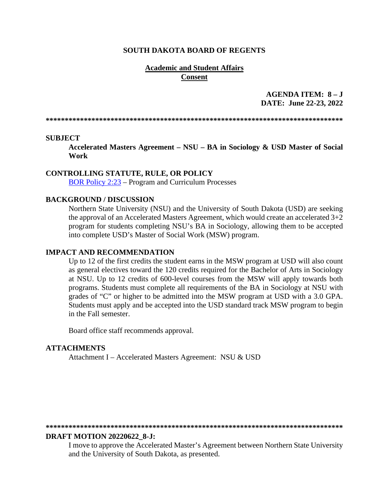#### **SOUTH DAKOTA BOARD OF REGENTS**

### **Academic and Student Affairs Consent**

## AGENDA ITEM:  $8-J$ DATE: June 22-23, 2022

#### **SUBJECT**

Accelerated Masters Agreement - NSU - BA in Sociology & USD Master of Social **Work** 

#### **CONTROLLING STATUTE, RULE, OR POLICY**

**BOR Policy 2:23 – Program and Curriculum Processes** 

### **BACKGROUND / DISCUSSION**

Northern State University (NSU) and the University of South Dakota (USD) are seeking the approval of an Accelerated Masters Agreement, which would create an accelerated  $3+2$ program for students completing NSU's BA in Sociology, allowing them to be accepted into complete USD's Master of Social Work (MSW) program.

#### **IMPACT AND RECOMMENDATION**

Up to 12 of the first credits the student earns in the MSW program at USD will also count as general electives toward the 120 credits required for the Bachelor of Arts in Sociology at NSU. Up to 12 credits of 600-level courses from the MSW will apply towards both programs. Students must complete all requirements of the BA in Sociology at NSU with grades of "C" or higher to be admitted into the MSW program at USD with a 3.0 GPA. Students must apply and be accepted into the USD standard track MSW program to begin in the Fall semester.

Board office staff recommends approval.

#### **ATTACHMENTS**

Attachment I - Accelerated Masters Agreement: NSU & USD

#### 

#### **DRAFT MOTION 20220622 8-J:**

I move to approve the Accelerated Master's Agreement between Northern State University and the University of South Dakota, as presented.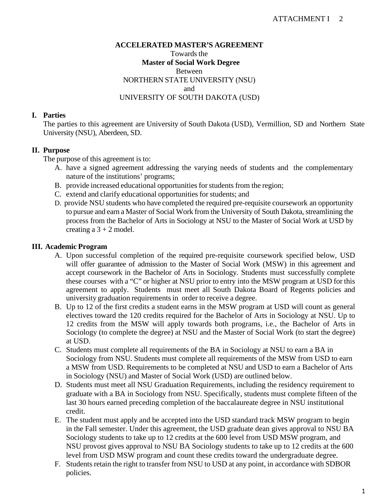### **ACCELERATED MASTER'S AGREEMENT**

Towards the **Master of Social Work Degree** Between NORTHERN STATE UNIVERSITY (NSU) and UNIVERSITY OF SOUTH DAKOTA (USD)

# **I. Parties**

The parties to this agreement are University of South Dakota (USD), Vermillion, SD and Northern State University (NSU), Aberdeen, SD.

# **II. Purpose**

The purpose of this agreement is to:

- A. have a signed agreement addressing the varying needs of students and the complementary nature of the institutions' programs;
- B. provide increased educational opportunities for students from the region;
- C. extend and clarify educational opportunities for students; and
- D. provide NSU students who have completed the required pre-requisite coursework an opportunity to pursue and earn a Master of Social Work from the University of South Dakota, streamlining the process from the Bachelor of Arts in Sociology at NSU to the Master of Social Work at USD by creating a  $3 + 2$  model.

# **III. Academic Program**

- A. Upon successful completion of the required pre-requisite coursework specified below, USD will offer guarantee of admission to the Master of Social Work (MSW) in this agreement and accept coursework in the Bachelor of Arts in Sociology. Students must successfully complete these courses with a "C" or higher at NSU prior to entry into the MSW program at USD for this agreement to apply. Students must meet all South Dakota Board of Regents policies and university graduation requirements in order to receive a degree.
- B. Up to 12 of the first credits a student earns in the MSW program at USD will count as general electives toward the 120 credits required for the Bachelor of Arts in Sociology at NSU. Up to 12 credits from the MSW will apply towards both programs, i.e., the Bachelor of Arts in Sociology (to complete the degree) at NSU and the Master of Social Work (to start the degree) at USD.
- C. Students must complete all requirements of the BA in Sociology at NSU to earn a BA in Sociology from NSU. Students must complete all requirements of the MSW from USD to earn a MSW from USD. Requirements to be completed at NSU and USD to earn a Bachelor of Arts in Sociology (NSU) and Master of Social Work (USD) are outlined below.
- D. Students must meet all NSU Graduation Requirements, including the residency requirement to graduate with a BA in Sociology from NSU. Specifically, students must complete fifteen of the last 30 hours earned preceding completion of the baccalaureate degree in NSU institutional credit.
- E. The student must apply and be accepted into the USD standard track MSW program to begin in the Fall semester. Under this agreement, the USD graduate dean gives approval to NSU BA Sociology students to take up to 12 credits at the 600 level from USD MSW program, and NSU provost gives approval to NSU BA Sociology students to take up to 12 credits at the 600 level from USD MSW program and count these credits toward the undergraduate degree.
- F. Students retain the right to transfer from NSU to USD at any point, in accordance with SDBOR policies.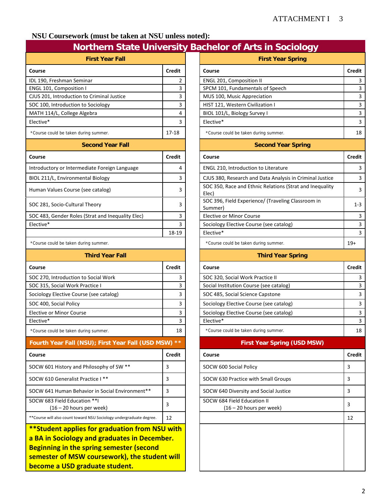# **NSU Coursework (must be taken at NSU unless noted):**

# **Northern State University Bachelor of Arts in Sociology**

| <b>First Year Fall</b>                                                                                                                                                                                                               |               | <b>First Year Spring</b>                                          |       |  |
|--------------------------------------------------------------------------------------------------------------------------------------------------------------------------------------------------------------------------------------|---------------|-------------------------------------------------------------------|-------|--|
| Course                                                                                                                                                                                                                               | <b>Credit</b> | Course                                                            | Cred  |  |
| IDL 190, Freshman Seminar                                                                                                                                                                                                            | 2             | <b>ENGL 201, Composition II</b>                                   |       |  |
| ENGL 101, Composition I                                                                                                                                                                                                              | 3             | SPCM 101, Fundamentals of Speech                                  |       |  |
| CJUS 201, Introduction to Criminal Justice                                                                                                                                                                                           | 3             | MUS 100, Music Appreciation                                       |       |  |
| SOC 100, Introduction to Sociology                                                                                                                                                                                                   | 3             | HIST 121, Western Civilization I                                  |       |  |
| MATH 114/L, College Algebra                                                                                                                                                                                                          | 4             | BIOL 101/L, Biology Survey I                                      |       |  |
| Elective*                                                                                                                                                                                                                            | 3             | Elective*                                                         |       |  |
| *Course could be taken during summer.                                                                                                                                                                                                | 17-18         | *Course could be taken during summer.                             |       |  |
| <b>Second Year Fall</b>                                                                                                                                                                                                              |               | <b>Second Year Spring</b>                                         |       |  |
| Course                                                                                                                                                                                                                               | <b>Credit</b> | Course                                                            | Cred  |  |
| Introductory or Intermediate Foreign Language                                                                                                                                                                                        | 4             | <b>ENGL 210, Introduction to Literature</b>                       |       |  |
| BIOL 211/L, Environmental Biology                                                                                                                                                                                                    | 3             | CJUS 380, Research and Data Analysis in Criminal Justice          |       |  |
| Human Values Course (see catalog)                                                                                                                                                                                                    | 3             | SOC 350, Race and Ethnic Relations (Strat and Inequality<br>Elec) |       |  |
| SOC 281, Socio-Cultural Theory                                                                                                                                                                                                       | 3             | SOC 396, Field Experience/ (Traveling Classroom in<br>Summer)     | 1     |  |
| SOC 483, Gender Roles (Strat and Inequality Elec)                                                                                                                                                                                    | 3             | Elective or Minor Course                                          |       |  |
| Elective*                                                                                                                                                                                                                            | 3             | Sociology Elective Course (see catalog)                           |       |  |
|                                                                                                                                                                                                                                      | 18-19         | Elective*                                                         |       |  |
| *Course could be taken during summer.                                                                                                                                                                                                |               | *Course could be taken during summer.                             | $19+$ |  |
| <b>Third Year Fall</b>                                                                                                                                                                                                               |               | <b>Third Year Spring</b>                                          |       |  |
| Course                                                                                                                                                                                                                               | <b>Credit</b> | Course                                                            | Cred  |  |
| SOC 270, Introduction to Social Work                                                                                                                                                                                                 | 3             | SOC 320, Social Work Practice II                                  |       |  |
| SOC 315, Social Work Practice I                                                                                                                                                                                                      | 3             | Social Institution Course (see catalog)                           |       |  |
| Sociology Elective Course (see catalog)                                                                                                                                                                                              | 3             | SOC 485, Social Science Capstone                                  |       |  |
| SOC 400, Social Policy                                                                                                                                                                                                               | 3             | Sociology Elective Course (see catalog)                           |       |  |
| <b>Elective or Minor Course</b>                                                                                                                                                                                                      | 3             | Sociology Elective Course (see catalog)                           |       |  |
| Elective*                                                                                                                                                                                                                            | 3             | Elective*                                                         |       |  |
| *Course could be taken during summer.                                                                                                                                                                                                | 18            | *Course could be taken during summer.                             |       |  |
| Fourth Year Fall (NSU); First Year Fall (USD MSW) **                                                                                                                                                                                 |               | <b>First Year Spring (USD MSW)</b>                                |       |  |
| Course                                                                                                                                                                                                                               | <b>Credit</b> | Course                                                            | Cred  |  |
| SOCW 601 History and Philosophy of SW **                                                                                                                                                                                             | 3             | SOCW 600 Social Policy                                            | 3     |  |
| SOCW 610 Generalist Practice I **                                                                                                                                                                                                    | 3             | SOCW 630 Practice with Small Groups                               | 3     |  |
| SOCW 641 Human Behavior in Social Environment**                                                                                                                                                                                      | 3             | SOCW 640 Diversity and Social Justice                             | 3     |  |
| SOCW 683 Field Education ** I<br>$(16 - 20$ hours per week)                                                                                                                                                                          | 3             | SOCW 684 Field Education II<br>$(16 - 20$ hours per week)         | 3     |  |
| ** Course will also count toward NSU Sociology undergraduate degree.                                                                                                                                                                 | 12            |                                                                   | 12    |  |
| **Student applies for graduation from NSU with<br>a BA in Sociology and graduates in December.<br><b>Beginning in the spring semester (second</b><br>semester of MSW coursework), the student will<br>become a USD graduate student. |               |                                                                   |       |  |

|                                                                      |               | <b>Pagnetor of All to the obsiding</b>                            |                                    |                         |
|----------------------------------------------------------------------|---------------|-------------------------------------------------------------------|------------------------------------|-------------------------|
| <b>First Year Fall</b>                                               |               | <b>First Year Spring</b>                                          |                                    |                         |
| Course                                                               | <b>Credit</b> | Course                                                            |                                    | <b>Credit</b>           |
| IDL 190, Freshman Seminar                                            | 2             | <b>ENGL 201, Composition II</b>                                   |                                    | 3                       |
| <b>ENGL 101, Composition I</b>                                       | 3             | SPCM 101, Fundamentals of Speech                                  |                                    | $\overline{\mathbf{3}}$ |
| CJUS 201, Introduction to Criminal Justice                           | 3             | MUS 100, Music Appreciation                                       |                                    | 3                       |
| SOC 100, Introduction to Sociology                                   | 3             | HIST 121, Western Civilization I                                  |                                    | $\overline{3}$          |
| MATH 114/L, College Algebra                                          | 4             | BIOL 101/L, Biology Survey I                                      |                                    | $\overline{3}$          |
| Elective*                                                            | 3             | Elective*                                                         |                                    | 3                       |
| *Course could be taken during summer.                                | 17-18         | *Course could be taken during summer.                             |                                    | 18                      |
| <b>Second Year Fall</b>                                              |               | <b>Second Year Spring</b>                                         |                                    |                         |
| Course                                                               | <b>Credit</b> | Course                                                            |                                    | <b>Credit</b>           |
| Introductory or Intermediate Foreign Language                        | 4             | ENGL 210, Introduction to Literature                              |                                    | 3                       |
| BIOL 211/L, Environmental Biology                                    | 3             | CJUS 380, Research and Data Analysis in Criminal Justice          |                                    | 3                       |
| Human Values Course (see catalog)                                    | 3             | SOC 350, Race and Ethnic Relations (Strat and Inequality<br>Elec) |                                    | 3                       |
| SOC 281, Socio-Cultural Theory                                       | 3             | SOC 396, Field Experience/ (Traveling Classroom in<br>Summer)     |                                    | $1 - 3$                 |
| SOC 483, Gender Roles (Strat and Inequality Elec)                    | 3             | <b>Elective or Minor Course</b>                                   |                                    | 3                       |
| Elective*                                                            | 3             | Sociology Elective Course (see catalog)                           |                                    | $\overline{3}$          |
|                                                                      | 18-19         | Elective*                                                         |                                    | 3                       |
| *Course could be taken during summer.                                |               | *Course could be taken during summer.                             |                                    | $19+$                   |
| <b>Third Year Fall</b>                                               |               | <b>Third Year Spring</b>                                          |                                    |                         |
| Course                                                               | <b>Credit</b> | Course                                                            |                                    | <b>Credit</b>           |
| SOC 270, Introduction to Social Work                                 | 3             | SOC 320, Social Work Practice II                                  |                                    | 3                       |
| SOC 315, Social Work Practice I                                      | 3             | Social Institution Course (see catalog)                           |                                    | 3                       |
| Sociology Elective Course (see catalog)                              | 3             | SOC 485, Social Science Capstone                                  |                                    | 3                       |
| SOC 400, Social Policy                                               | 3             | Sociology Elective Course (see catalog)                           |                                    | 3                       |
| <b>Elective or Minor Course</b>                                      | 3             | Sociology Elective Course (see catalog)                           |                                    | 3                       |
| Elective*                                                            | 3             | Elective*                                                         |                                    | $\overline{\mathbf{3}}$ |
| *Course could be taken during summer.                                | 18            | *Course could be taken during summer.                             |                                    | 18                      |
| Fourth Year Fall (NSU); First Year Fall (USD MSW) **                 |               |                                                                   | <b>First Year Spring (USD MSW)</b> |                         |
| Course                                                               | <b>Credit</b> | Course                                                            |                                    | <b>Credit</b>           |
| SOCW 601 History and Philosophy of SW **                             | 3             | SOCW 600 Social Policy                                            |                                    | 3                       |
| SOCW 610 Generalist Practice I **                                    | 3             | SOCW 630 Practice with Small Groups                               |                                    | 3                       |
| SOCW 641 Human Behavior in Social Environment**                      | 3             | SOCW 640 Diversity and Social Justice                             |                                    | 3                       |
| SOCW 683 Field Education **I<br>$(16 - 20$ hours per week)           | 3             | SOCW 684 Field Education II<br>$(16 - 20$ hours per week)         |                                    | 3                       |
| ** Course will also count toward NSU Sociology undergraduate degree. | 12            |                                                                   |                                    | 12                      |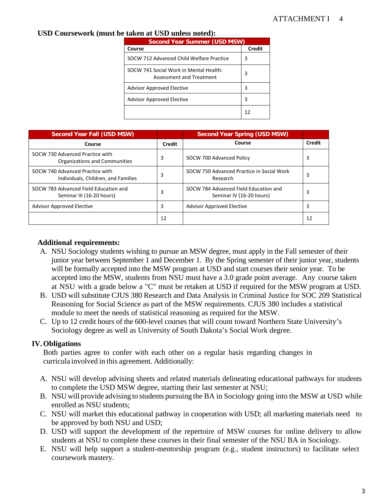# **USD Coursework (must be taken at USD unless noted):**

| <b>Second Year Summer (USD MSW)</b>                                |               |  |  |  |
|--------------------------------------------------------------------|---------------|--|--|--|
| Course                                                             | <b>Credit</b> |  |  |  |
| SOCW 712 Advanced Child Welfare Practice                           | 3             |  |  |  |
| SOCW 741 Social Work in Mental Health:<br>Assessment and Treatment | 3             |  |  |  |
| <b>Advisor Approved Elective</b>                                   | 3             |  |  |  |
| <b>Advisor Approved Elective</b>                                   | 3             |  |  |  |
|                                                                    | 12            |  |  |  |

| Second Year Fall (USD MSW)                                             |        | <b>Second Year Spring (USD MSW)</b>                               |        |
|------------------------------------------------------------------------|--------|-------------------------------------------------------------------|--------|
| Course                                                                 | Credit | Course                                                            | Credit |
| SOCW 730 Advanced Practice with<br>Organizations and Communities       | 3      | SOCW 700 Advanced Policy                                          | 3      |
| SOCW 740 Advanced Practice with<br>Individuals, Children, and Families | 3      | SOCW 750 Advanced Practice in Social Work<br>Research             | 3      |
| SOCW 783 Advanced Field Education and<br>Seminar III (16-20 hours)     | 3      | SOCW 784 Advanced Field Education and<br>Seminar IV (16-20 hours) | 3      |
| <b>Advisor Approved Elective</b>                                       | 3      | <b>Advisor Approved Elective</b>                                  | 3      |
|                                                                        | 12     |                                                                   | 12     |

# **Additional requirements:**

- A. NSU Sociology students wishing to pursue an MSW degree, must apply in the Fall semester of their junior year between September 1 and December 1. By the Spring semester of their junior year, students will be formally accepted into the MSW program at USD and start courses their senior year. To be accepted into the MSW, students from NSU must have a 3.0 grade point average. Any course taken at NSU with a grade below a "C" must be retaken at USD if required for the MSW program at USD.
- B. USD will substitute CJUS 380 Research and Data Analysis in Criminal Justice for SOC 209 Statistical Reasoning for Social Science as part of the MSW requirements. CJUS 380 includes a statistical module to meet the needs of statistical reasoning as required for the MSW.
- C. Up to 12 credit hours of the 600-level courses that will count toward Northern State University's Sociology degree as well as University of South Dakota's Social Work degree.

# **IV.Obligations**

Both parties agree to confer with each other on a regular basis regarding changes in curricula involved in this agreement. Additionally:

- A. NSU will develop advising sheets and related materials delineating educational pathways for students to complete the USD MSW degree, starting their last semester at NSU;
- B. NSU will provide advising to students pursuing the BA in Sociology going into the MSW at USD while enrolled as NSU students;
- C. NSU will market this educational pathway in cooperation with USD; all marketing materials need to be approved by both NSU and USD;
- D. USD will support the development of the repertoire of MSW courses for online delivery to allow students at NSU to complete these courses in their final semester of the NSU BA in Sociology.
- E. NSU will help support a student-mentorship program (e.g., student instructors) to facilitate select coursework mastery.